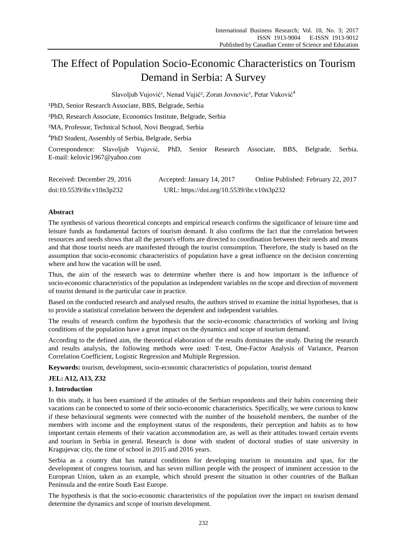# The Effect of Population Socio-Economic Characteristics on Tourism Demand in Serbia: A Survey

Slavoljub Vujović<sup>1</sup>, Nenad Vujić<sup>2</sup>, Zoran Jovnovic<sup>3</sup>, Petar Vuković<sup>4</sup>

PhD, Senior Research Associate, BBS, Belgrade, Serbia

²PhD, Research Associate, Economics Institute, Belgrade, Serbia

³MA, Professor, Technical School, Novi Beograd, Serbia

<sup>4</sup>PhD Student, Assembly of Serbia, Belgrade, Serbia

Correspondence: Slavoljub Vujović, PhD, Senior Research Associate, BBS, Belgrade, Serbia. E-mail: kelovic1967@yahoo.com

| Received: December 29, 2016 | Accepted: January 14, 2017                 | Online Published: February 22, 2017 |
|-----------------------------|--------------------------------------------|-------------------------------------|
| doi:10.5539/ibr.v10n3p232   | URL: https://doi.org/10.5539/ibr.v10n3p232 |                                     |

# **Abstract**

The synthesis of various theoretical concepts and empirical research confirms the significance of leisure time and leisure funds as fundamental factors of tourism demand. It also confirms the fact that the correlation between resources and needs shows that all the person's efforts are directed to coordination between their needs and means and that those tourist needs are manifested through the tourist consumption. Therefore, the study is based on the assumption that socio-economic characteristics of population have a great influence on the decision concerning where and how the vacation will be used.

Thus, the aim of the research was to determine whether there is and how important is the influence of socio-economic characteristics of the population as independent variables on the scope and direction of movement of tourist demand in the particular case in practice.

Based on the conducted research and analysed results, the authors strived to examine the initial hypotheses, that is to provide a statistical correlation between the dependent and independent variables.

The results of research confirm the hypothesis that the socio-economic characteristics of working and living conditions of the population have a great impact on the dynamics and scope of tourism demand.

According to the defined aim, the theoretical elaboration of the results dominates the study. During the research and results analysis, the following methods were used: T-test, One-Factor Analysis of Variance, Pearson Correlation Coefficient, Logistic Regression and Multiple Regression.

**Keywords:** tourism, development, socio-economic characteristics of population, tourist demand

# **JEL: A12, A13, Z32**

# **1. Introduction**

In this study, it has been examined if the attitudes of the Serbian respondents and their habits concerning their vacations can be connected to some of their socio-economic characteristics. Specifically, we were curious to know if these behavioural segments were connected with the number of the household members, the number of the members with income and the employment status of the respondents, their perception and habits as to how important certain elements of their vacation accommodation are, as well as their attitudes toward certain events and tourism in Serbia in general. Research is done with student of doctoral studies of state university in Kragujevac city, the time of school in 2015 and 2016 years.

Serbia as a country that has natural conditions for developing tourism in mountains and spas, for the development of congress tourism, and has seven million people with the prospect of imminent accession to the European Union, taken as an example, which should present the situation in other countries of the Balkan Peninsula and the entire South East Europe.

The hypothesis is that the socio-economic characteristics of the population over the impact on tourism demand determine the dynamics and scope of tourism development.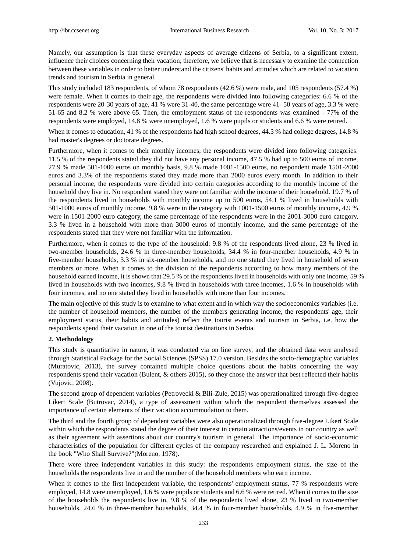Namely, our assumption is that these everyday aspects of average citizens of Serbia, to a significant extent, influence their choices concerning their vacation; therefore, we believe that is necessary to examine the connection between these variables in order to better understand the citizens' habits and attitudes which are related to vacation trends and tourism in Serbia in general.

This study included 183 respondents, of whom 78 respondents (42.6 %) were male, and 105 respondents (57.4 %) were female. When it comes to their age, the respondents were divided into following categories: 6.6 % of the respondents were 20-30 years of age, 41 % were 31-40, the same percentage were 41- 50 years of age, 3.3 % were 51-65 and 8.2 % were above 65. Then, the employment status of the respondents was examined - 77% of the respondents were employed, 14.8 % were unemployed, 1.6 % were pupils or students and 6.6 % were retired.

When it comes to education, 41 % of the respondents had high school degrees, 44.3 % had college degrees, 14.8 % had master's degrees or doctorate degrees.

Furthermore, when it comes to their monthly incomes, the respondents were divided into following categories: 11.5 % of the respondents stated they did not have any personal income, 47.5 % had up to 500 euros of income, 27.9 % made 501-1000 euros on monthly basis, 9.8 % made 1001-1500 euros, no respondent made 1501-2000 euros and 3.3% of the respondents stated they made more than 2000 euros every month. In addition to their personal income, the respondents were divided into certain categories according to the monthly income of the household they live in. No respondent stated they were not familiar with the income of their household. 19.7 % of the respondents lived in households with monthly income up to 500 euros, 54.1 % lived in households with 501-1000 euros of monthly income, 9.8 % were in the category with 1001-1500 euros of monthly income, 4.9 % were in 1501-2000 euro category, the same percentage of the respondents were in the 2001-3000 euro category, 3.3 % lived in a household with more than 3000 euros of monthly income, and the same percentage of the respondents stated that they were not familiar with the information.

Furthermore, when it comes to the type of the household: 9.8 % of the respondents lived alone, 23 % lived in two-member households, 24.6 % in three-member households, 34.4 % in four-member households, 4.9 % in five-member households, 3.3 % in six-member households, and no one stated they lived in household of seven members or more. When it comes to the division of the respondents according to how many members of the household earned income, it is shown that 29.5 % of the respondents lived in households with only one income, 59 % lived in households with two incomes, 9.8 % lived in households with three incomes, 1.6 % in households with four incomes, and no one stated they lived in households with more than four incomes.

The main objective of this study is to examine to what extent and in which way the socioeconomics variables (i.e. the number of household members, the number of the members generating income, the respondents' age, their employment status, their habits and attitudes) reflect the tourist events and tourism in Serbia, i.e. how the respondents spend their vacation in one of the tourist destinations in Serbia.

#### **2. Methodology**

This study is quantitative in nature, it was conducted via on line survey, and the obtained data were analysed through Statistical Package for the Social Sciences (SPSS) 17.0 version. Besides the socio-demographic variables (Muratovic, 2013), the survey contained multiple choice questions about the habits concerning the way respondents spend their vacation (Bulent, & others 2015), so they chose the answer that best reflected their habits (Vujovic, 2008).

The second group of dependent variables (Petrovecki & Bili-Zule, 2015) was operationalized through five-degree Likert Scale (Butrovac, 2014), a type of assessment within which the respondent themselves assessed the importance of certain elements of their vacation accommodation to them.

The third and the fourth group of dependent variables were also operationalized through five-degree Likert Scale within which the respondents stated the degree of their interest in certain attractions/events in our country as well as their agreement with assertions about our country's tourism in general. The importance of socio-economic characteristics of the population for different cycles of the company researched and explained J. L. Moreno in the book "Who Shall Survive?"(Moreno, 1978).

There were three independent variables in this study: the respondents employment status, the size of the households the respondents live in and the number of the household members who earn income.

When it comes to the first independent variable, the respondents' employment status, 77 % respondents were employed, 14.8 were unemployed, 1.6 % were pupils or students and 6.6 % were retired. When it comes to the size of the households the respondents live in, 9.8 % of the respondents lived alone, 23 % lived in two-member households, 24.6 % in three-member households, 34.4 % in four-member households, 4.9 % in five-member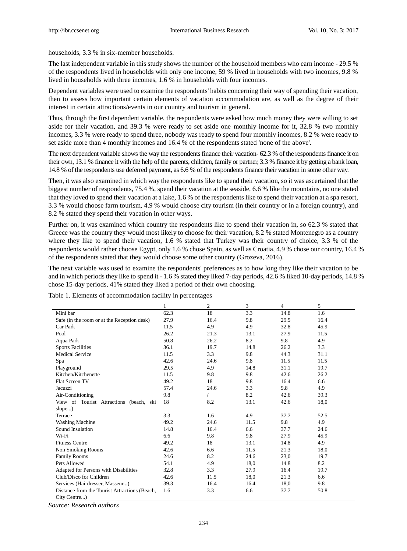households, 3.3 % in six-member households.

The last independent variable in this study shows the number of the household members who earn income - 29.5 % of the respondents lived in households with only one income, 59 % lived in households with two incomes, 9.8 % lived in households with three incomes, 1.6 % in households with four incomes.

Dependent variables were used to examine the respondents' habits concerning their way of spending their vacation, then to assess how important certain elements of vacation accommodation are, as well as the degree of their interest in certain attractions/events in our country and tourism in general.

Thus, through the first dependent variable, the respondents were asked how much money they were willing to set aside for their vacation, and 39.3 % were ready to set aside one monthly income for it, 32.8 % two monthly incomes, 3.3 % were ready to spend three, nobody was ready to spend four monthly incomes, 8.2 % were ready to set aside more than 4 monthly incomes and 16.4 % of the respondents stated 'none of the above'.

The next dependent variable shows the way the respondents finance their vacation- 62.3 % of the respondents finance it on their own, 13.1 % finance it with the help of the parents, children, family or partner, 3.3 % finance it by getting a bank loan, 14.8 % of the respondents use deferred payment, as 6.6 % of the respondents finance their vacation in some other way.

Then, it was also examined in which way the respondents like to spend their vacation, so it was ascertained that the biggest number of respondents, 75.4 %, spend their vacation at the seaside, 6.6 % like the mountains, no one stated that they loved to spend their vacation at a lake, 1.6 % of the respondents like to spend their vacation at a spa resort, 3.3 % would choose farm tourism, 4.9 % would choose city tourism (in their country or in a foreign country), and 8.2 % stated they spend their vacation in other ways.

Further on, it was examined which country the respondents like to spend their vacation in, so 62.3 % stated that Greece was the country they would most likely to choose for their vacation, 8.2 % stated Montenegro as a country where they like to spend their vacation, 1.6 % stated that Turkey was their country of choice, 3.3 % of the respondents would rather choose Egypt, only 1.6 % chose Spain, as well as Croatia, 4.9 % chose our country, 16.4 % of the respondents stated that they would choose some other country (Grozeva, 2016).

The next variable was used to examine the respondents' preferences as to how long they like their vacation to be and in which periods they like to spend it - 1.6 % stated they liked 7-day periods, 42.6 % liked 10-day periods, 14.8 % chose 15-day periods, 41% stated they liked a period of their own choosing.

|                                               | $\mathbf{1}$ | $\overline{c}$ | 3    | 4    | 5    |
|-----------------------------------------------|--------------|----------------|------|------|------|
| Mini bar                                      | 62.3         | 18             | 3.3  | 14.8 | 1.6  |
| Safe (in the room or at the Reception desk)   | 27.9         | 16.4           | 9.8  | 29.5 | 16.4 |
| Car Park                                      | 11.5         | 4.9            | 4.9  | 32.8 | 45.9 |
| Pool                                          | 26.2         | 21.3           | 13.1 | 27.9 | 11.5 |
| Aqua Park                                     | 50.8         | 26.2           | 8.2  | 9.8  | 4.9  |
| <b>Sports Facilities</b>                      | 36.1         | 19.7           | 14.8 | 26.2 | 3.3  |
| <b>Medical Service</b>                        | 11.5         | 3.3            | 9.8  | 44.3 | 31.1 |
| Spa                                           | 42.6         | 24.6           | 9.8  | 11.5 | 11.5 |
| Playground                                    | 29.5         | 4.9            | 14.8 | 31.1 | 19.7 |
| Kitchen/Kitchenette                           | 11.5         | 9.8            | 9.8  | 42.6 | 26.2 |
| Flat Screen TV                                | 49.2         | 18             | 9.8  | 16.4 | 6.6  |
| Jacuzzi                                       | 57.4         | 24.6           | 3.3  | 9.8  | 4.9  |
| Air-Conditioning                              | 9.8          |                | 8.2  | 42.6 | 39.3 |
| View of Tourist Attractions (beach, ski       | 18           | 8.2            | 13.1 | 42.6 | 18,0 |
| slope)                                        |              |                |      |      |      |
| Terrace                                       | 3.3          | 1.6            | 4.9  | 37.7 | 52.5 |
| <b>Washing Machine</b>                        | 49.2         | 24.6           | 11.5 | 9.8  | 4.9  |
| Sound Insulation                              | 14.8         | 16.4           | 6.6  | 37.7 | 24.6 |
| Wi-Fi                                         | 6.6          | 9.8            | 9.8  | 27.9 | 45.9 |
| <b>Fitness Centre</b>                         | 49.2         | 18             | 13.1 | 14.8 | 4.9  |
| Non Smoking Rooms                             | 42.6         | 6.6            | 11.5 | 21.3 | 18,0 |
| <b>Family Rooms</b>                           | 24.6         | 8.2            | 24.6 | 23,0 | 19.7 |
| Pets Allowed                                  | 54.1         | 4.9            | 18,0 | 14.8 | 8.2  |
| Adapted for Persons with Disabilities         | 32.8         | 3.3            | 27.9 | 16.4 | 19.7 |
| Club/Disco for Children                       | 42.6         | 11.5           | 18,0 | 21.3 | 6.6  |
| Services (Hairdresser, Masseur)               | 39.3         | 16.4           | 16.4 | 18,0 | 9.8  |
| Distance from the Tourist Attractions (Beach, | 1.6          | 3.3            | 6.6  | 37.7 | 50.8 |
| City Centre)                                  |              |                |      |      |      |

Table 1. Elements of accommodation facility in percentages

*Source: Research authors*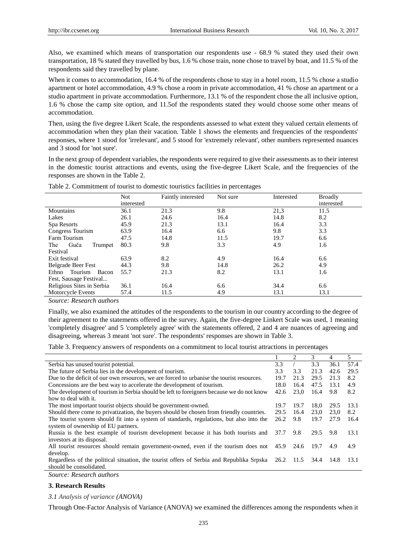Also, we examined which means of transportation our respondents use - 68.9 % stated they used their own transportation, 18 % stated they travelled by bus, 1.6 % chose train, none chose to travel by boat, and 11.5 % of the respondents said they travelled by plane.

When it comes to accommodation, 16.4 % of the respondents chose to stay in a hotel room, 11.5 % chose a studio apartment or hotel accommodation, 4.9 % chose a room in private accommodation, 41 % chose an apartment or a studio apartment in private accommodation. Furthermore, 13.1 % of the respondent chose the all inclusive option, 1.6 % chose the camp site option, and 11.5of the respondents stated they would choose some other means of accommodation.

Then, using the five degree Likert Scale, the respondents assessed to what extent they valued certain elements of accommodation when they plan their vacation. Table 1 shows the elements and frequencies of the respondents' responses, where 1 stood for 'irrelevant', and 5 stood for 'extremely relevant', other numbers represented nuances and 3 stood for 'not sure'.

In the next group of dependent variables, the respondents were required to give their assessments as to their interest in the domestic tourist attractions and events, using the five-degree Likert Scale, and the frequencies of the responses are shown in the Table 2.

|                               | <b>Not</b><br>interested | Faintly interested | Not sure | Interested | <b>Broadly</b><br>interested |
|-------------------------------|--------------------------|--------------------|----------|------------|------------------------------|
|                               |                          |                    |          |            |                              |
| <b>Mountains</b>              | 36.1                     | 21.3               | 9.8      | 21,3       | 11.5                         |
| Lakes                         | 26.1                     | 24.6               | 16.4     | 14.8       | 8.2                          |
| Spa Resorts                   | 45.9                     | 21.3               | 13.1     | 16.4       | 3.3                          |
| Congress Tourism              | 63.9                     | 16.4               | 6.6      | 9.8        | 3.3                          |
| Farm Tourism                  | 47.5                     | 14.8               | 11.5     | 19.7       | 6.6                          |
| Guča<br><b>The</b><br>Trumpet | 80.3                     | 9.8                | 3.3      | 4.9        | 1.6                          |
| Festival                      |                          |                    |          |            |                              |
| Exit festival                 | 63.9                     | 8.2                | 4.9      | 16.4       | 6.6                          |
| <b>Belgrade Beer Fest</b>     | 44.3                     | 9.8                | 14.8     | 26.2       | 4.9                          |
| Bacon<br>Tourism<br>Ethno     | 55.7                     | 21.3               | 8.2      | 13.1       | 1.6                          |
| Fest, Sausage Festival        |                          |                    |          |            |                              |
| Religious Sites in Serbia     | 36.1                     | 16.4               | 6.6      | 34.4       | 6.6                          |
| <b>Motorcycle Events</b>      | 57.4                     | 11.5               | 4.9      | 13.1       | 13.1                         |

Table 2. Commitment of tourist to domestic touristics facilities in percentages

*Source: Research authors*

Finally, we also examined the attitudes of the respondents to the tourism in our country according to the degree of their agreement to the statements offered in the survey. Again, the five-degree Linkert Scale was used, 1 meaning 'completely disagree' and 5 'completely agree' with the statements offered, 2 and 4 are nuances of agreeing and disagreeing, whereas 3 meant 'not sure'. The respondents' responses are shown in Table 3.

Table 3. Frequency answers of respondents on a commitment to local tourist attractions in percentages

|                                                                                           |      | $\mathfrak{D}$ | 3    | 4    | 5    |
|-------------------------------------------------------------------------------------------|------|----------------|------|------|------|
| Serbia has unused tourist potential.                                                      | 3.3  |                | 3.3  | 36.1 | 57.4 |
| The future of Serbia lies in the development of tourism.                                  | 3.3  | 3.3            | 21.3 | 42.6 | 29.5 |
| Due to the deficit of our own resources, we are forced to urbanise the tourist resources. | 19.7 | 21.3           | 29.5 | 21.3 | 8.2  |
| Concessions are the best way to accelerate the development of tourism.                    | 18.0 | 16.4           | 47.5 | 13.1 | 4.9  |
| The development of tourism in Serbia should be left to foreigners because we do not know  | 42.6 | 23.0           | 16.4 | 9.8  | 8.2  |
| how to deal with it.                                                                      |      |                |      |      |      |
| The most important tourist objects should be government-owned.                            | 19.7 | 19.7           | 18.0 | 29.5 | 13.1 |
| Should there come to privatization, the buyers should be chosen from friendly countries.  | 29.5 | 16.4           | 23.0 | 23,0 | 8.2  |
| The tourist system should fit into a system of standards, regulations, but also into the  | 26.2 | 9.8            | 19.7 | 27.9 | 16.4 |
| system of ownership of EU partners.                                                       |      |                |      |      |      |
| Russia is the best example of tourism development because it has both tourists and        | 37.7 | 9.8            | 29.5 | 9.8  | 13.1 |
| investors at its disposal.                                                                |      |                |      |      |      |
| All tourist resources should remain government-owned, even if the tourism does not        | 45.9 | 24.6           | 19.7 | 4.9  | 4.9  |
| develop.                                                                                  |      |                |      |      |      |
| Regardless of the political situation, the tourist offers of Serbia and Republika Srpska  | 26.2 | 11.5           | 34.4 | 14.8 | 13.1 |
| should be consolidated.                                                                   |      |                |      |      |      |

*Source: Research authors*

# **3. Research Results**

*3.1 Analysis of variance (ANOVA)*

Through One-Factor Analysis of Variance (ANOVA) we examined the differences among the respondents when it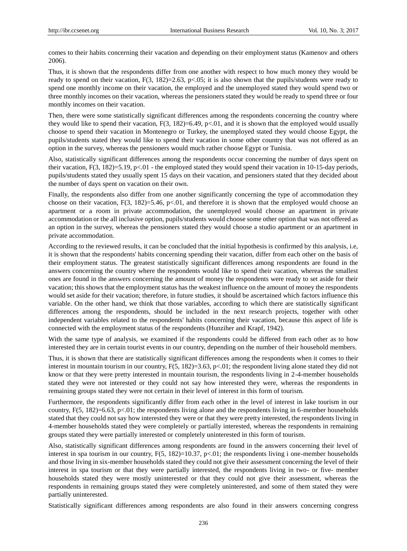comes to their habits concerning their vacation and depending on their employment status (Kamenov and others 2006).

Thus, it is shown that the respondents differ from one another with respect to how much money they would be ready to spend on their vacation,  $F(3, 182)=2.63$ ,  $p<.05$ ; it is also shown that the pupils/students were ready to spend one monthly income on their vacation, the employed and the unemployed stated they would spend two or three monthly incomes on their vacation, whereas the pensioners stated they would be ready to spend three or four monthly incomes on their vacation.

Then, there were some statistically significant differences among the respondents concerning the country where they would like to spend their vacation,  $F(3, 182)=6.49$ ,  $p<0.1$ , and it is shown that the employed would usually choose to spend their vacation in Montenegro or Turkey, the unemployed stated they would choose Egypt, the pupils/students stated they would like to spend their vacation in some other country that was not offered as an option in the survey, whereas the pensioners would much rather choose Egypt or Tunisia.

Also, statistically significant differences among the respondents occur concerning the number of days spent on their vacation,  $F(3, 182)=5.19$ ,  $p<.01$  - the employed stated they would spend their vacation in 10-15-day periods, pupils/students stated they usually spent 15 days on their vacation, and pensioners stated that they decided about the number of days spent on vacation on their own.

Finally, the respondents also differ from one another significantly concerning the type of accommodation they choose on their vacation,  $F(3, 182)=5.46$ ,  $p<0.01$ , and therefore it is shown that the employed would choose an apartment or a room in private accommodation, the unemployed would choose an apartment in private accommodation or the all inclusive option, pupils/students would choose some other option that was not offered as an option in the survey, whereas the pensioners stated they would choose a studio apartment or an apartment in private accommodation.

According to the reviewed results, it can be concluded that the initial hypothesis is confirmed by this analysis, i.e, it is shown that the respondents' habits concerning spending their vacation, differ from each other on the basis of their employment status. The greatest statistically significant differences among respondents are found in the answers concerning the country where the respondents would like to spend their vacation, whereas the smallest ones are found in the answers concerning the amount of money the respondents were ready to set aside for their vacation; this shows that the employment status has the weakest influence on the amount of money the respondents would set aside for their vacation; therefore, in future studies, it should be ascertained which factors influence this variable. On the other hand, we think that those variables, according to which there are statistically significant differences among the respondents, should be included in the next research projects, together with other independent variables related to the respondents' habits concerning their vacation, because this aspect of life is connected with the employment status of the respondents (Hunziher and Krapf, 1942).

With the same type of analysis, we examined if the respondents could be differed from each other as to how interested they are in certain tourist events in our country, depending on the number of their household members.

Thus, it is shown that there are statistically significant differences among the respondents when it comes to their interest in mountain tourism in our country,  $F(5, 182)=3.63$ , p<.01; the respondent living alone stated they did not know or that they were pretty interested in mountain tourism, the respondents living in 2-4-member households stated they were not interested or they could not say how interested they were, whereas the respondents in remaining groups stated they were not certain in their level of interest in this form of tourism.

Furthermore, the respondents significantly differ from each other in the level of interest in lake tourism in our country,  $F(5, 182)=6.63$ ,  $p<0.01$ ; the respondents living alone and the respondents living in 6-member households stated that they could not say how interested they were or that they were pretty interested, the respondents living in 4-member households stated they were completely or partially interested, whereas the respondents in remaining groups stated they were partially interested or completely uninterested in this form of tourism.

Also, statistically significant differences among respondents are found in the answers concerning their level of interest in spa tourism in our country,  $F(5, 182)=10.37$ ,  $p<-01$ ; the respondents living i one-member households and those living in six-member households stated they could not give their assessment concerning the level of their interest in spa tourism or that they were partially interested, the respondents living in two- or five- member households stated they were mostly uninterested or that they could not give their assessment, whereas the respondents in remaining groups stated they were completely uninterested, and some of them stated they were partially uninterested.

Statistically significant differences among respondents are also found in their answers concerning congress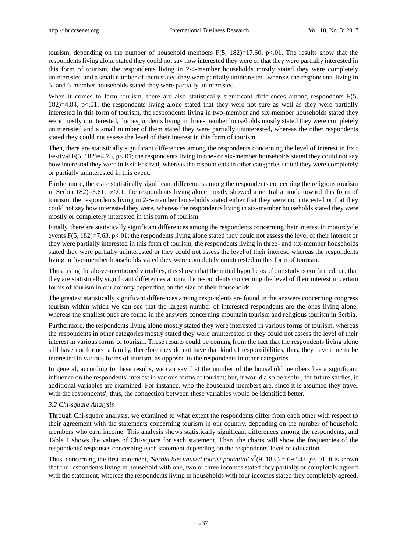tourism, depending on the number of household members  $F(5, 182)=17.60$ , p<01. The results show that the respondents living alone stated they could not say how interested they were or that they were partially interested in this form of tourism, the respondents living in 2-4-member households mostly stated they were completely uninterested and a small number of them stated they were partially uninterested, whereas the respondents living in 5- and 6-member households stated they were partially uninterested.

When it comes to farm tourism, there are also statistically significant differences among respondents F(5, 182)=4.84, p<.01; the respondents living alone stated that they were not sure as well as they were partially interested in this form of tourism, the respondents living in two-member and six-member households stated they were mostly uninterested, the respondents living in three-member households mostly stated they were completely uninterested and a small number of them stated they were partially uninterested, whereas the other respondents stated they could not assess the level of their interest in this form of tourism.

Then, there are statistically significant differences among the respondents concerning the level of interest in Exit Festival F(5, 182)=4.78, p<.01; the respondents living in one- or six-member households stated they could not say how interested they were in Exit Festival, whereas the respondents in other categories stated they were completely or partially uninterested in this event.

Furthermore, there are statistically significant differences among the respondents concerning the religious tourism in Serbia 182)=3.61, p<.01; the respondents living alone mostly showed a neutral attitude toward this form of tourism, the respondents living in 2-5-member households stated either that they were not interested or that they could not say how interested they were, whereas the respondents living in six-member households stated they were mostly or completely interested in this form of tourism.

Finally, there are statistically significant differences among the respondents concerning their interest in motorcycle events  $F(5, 182)=7.63$ , p<.01; the respondents living alone stated they could not assess the level of their interest or they were partially interested in this form of tourism, the respondents living in three- and six-member households stated they were partially uninterested or they could not assess the level of their interest, whereas the respondents living in five-member households stated they were completely uninterested in this form of tourism.

Thus, using the above-mentioned variables, it is shown that the initial hypothesis of our study is confirmed, i.e, that they are statistically significant differences among the respondents concerning the level of their interest in certain forms of tourism in our country depending on the size of their households.

The greatest statistically significant differences among respondents are found in the answers concerning congress tourism within which we can see that the largest number of interested respondents are the ones living alone, whereas the smallest ones are found in the answers concerning mountain tourism and religious tourism in Serbia.

Furthermore, the respondents living alone mostly stated they were interested in various forms of tourism, whereas the respondents in other categories mostly stated they were uninterested or they could not assess the level of their interest in various forms of tourism. These results could be coming from the fact that the respondents living alone still have not formed a family, therefore they do not have that kind of responsibilities, thus, they have time to be interested in various forms of tourism, as opposed to the respondents in other categories.

In general, according to these results, we can say that the number of the household members has a significant influence on the respondents' interest in various forms of tourism; but, it would also be useful, for future studies, if additional variables are examined. For instance, who the household members are, since it is assumed they travel with the respondents'; thus, the connection between these variables would be identified better.

## *3.2 Chi-square Analysis*

Through Chi-square analysis, we examined to what extent the respondents differ from each other with respect to their agreement with the statements concerning tourism in our country, depending on the number of household members who earn income. This analysis shows statistically significant differences among the respondents, and Table 1 shows the values of Chi-square for each statement. Then, the charts will show the frequencies of the respondents' responses concerning each statement depending on the respondents' level of education.

Thus, concerning the first statement, *'Serbia has unused tourist potential'*  $x^2(9, 183) = 69.543$ ,  $p < 01$ , it is shown that the respondents living in household with one, two or three incomes stated they partially or completely agreed with the statement, whereas the respondents living in households with four incomes stated they completely agreed.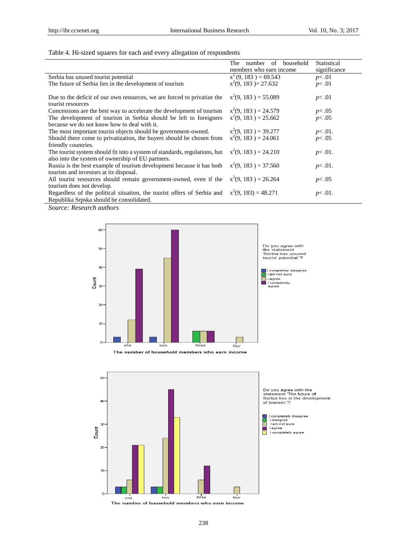# Table 4. Hi-sized squares for each and every allegation of respondents

|                                                                                                | of household<br>The<br>number | Statistical  |
|------------------------------------------------------------------------------------------------|-------------------------------|--------------|
|                                                                                                | members who earn income       | significance |
| Serbia has unused tourist potential                                                            | $x^2$ (9, 183) = 69.543       | p<.01        |
| The future of Serbia lies in the development of tourism                                        | $x^2(9, 183) = 27.632$        | p<.01        |
|                                                                                                |                               |              |
| Due to the deficit of our own resources, we are forced to privatize the                        | $x^2(9, 183) = 55.089$        | p<.01        |
| tourist resources                                                                              |                               |              |
| Concessions are the best way to accelerate the development of tourism                          | $x^2(9, 183) = 24.579$        | p<.05        |
| The development of tourism in Serbia should be left to foreigners                              | $x^2(9, 183) = 25.662$        | p<.05        |
| because we do not know how to deal with it.                                                    |                               |              |
| The most important tourist objects should be government-owned.                                 | $x^2(9, 183) = 39.277$        | $p<.01$ .    |
| Should there come to privatization, the buyers should be chosen from                           | $x^2(9, 183) = 24.061$        | p<.05        |
| friendly countries.                                                                            |                               |              |
| The tourist system should fit into a system of standards, regulations, but                     | $x^2(9, 183) = 24.210$        | $p<.01$ .    |
| also into the system of ownership of EU partners.                                              |                               |              |
| Russia is the best example of tourism development because it has both $x^2(9, 183) = 37.560$   |                               | $p<.01$ .    |
| tourists and investors at its disposal.                                                        |                               |              |
| All tourist resources should remain government-owned, even if the $x^2(9, 183) = 26.264$       |                               | p<.05        |
| tourism does not develop.                                                                      |                               |              |
| Regardless of the political situation, the tourist offers of Serbia and $x^2(9, 183) = 48.271$ |                               | $p<.01$ .    |
| Republika Srpska should be consolidated.                                                       |                               |              |

*Source: Research authors*





Do you agree with the<br>statement The future of<br>Serbia lies in the development<br>of tourism."?

<sup>&</sup>lt;table>\n<tbody>\n<tr>\n<td>1 completely disagree</td>\n</tr>\n<tr>\n<td>1 disagree</td>\n</tr>\n<tr>\n<td>1 am not sure</td>\n</tr>\n<tr>\n<td>1 agree</td>\n</tr>\n<tr>\n<td>1 completely agree</td>\n</tr>\n</tbody>\n</table>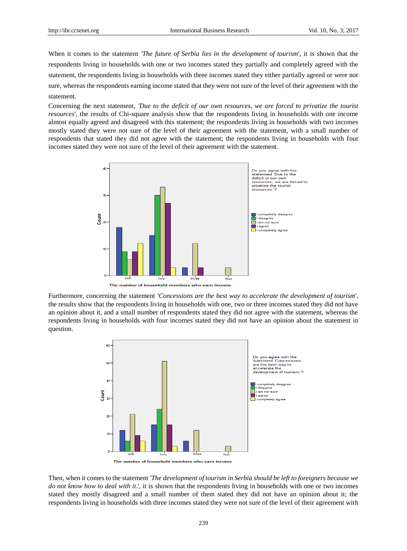When it comes to the statement *'The future of Serbia lies in the development of tourism*', it is shown that the respondents living in households with one or two incomes stated they partially and completely agreed with the statement, the respondents living in households with three incomes stated they either partially agreed or were not sure, whereas the respondents earning income stated that they were not sure of the level of their agreement with the statement.

Concerning the next statement, *'Due to the deficit of our own resources, we are forced to privatize the tourist resources*', the results of Chi-square analysis show that the respondents living in households with one income almost equally agreed and disagreed with this statement; the respondents living in households with two incomes mostly stated they were not sure of the level of their agreement with the statement, with a small number of respondents that stated they did not agree with the statement; the respondents living in households with four incomes stated they were not sure of the level of their agreement with the statement.



Furthermore, concerning the statement *'Concessions are the best way to accelerate the development of tourism*', the results show that the respondents living in households with one, two or three incomes stated they did not have an opinion about it, and a small number of respondents stated they did not agree with the statement, whereas the respondents living in households with four incomes stated they did not have an opinion about the statement in question.



Then, when it comes to the statement *'The development of tourism in Serbia should be left to foreigners because we do not know how to deal with it*.', it is shown that the respondents living in households with one or two incomes stated they mostly disagreed and a small number of them stated they did not have an opinion about it; the respondents living in households with three incomes stated they were not sure of the level of their agreement with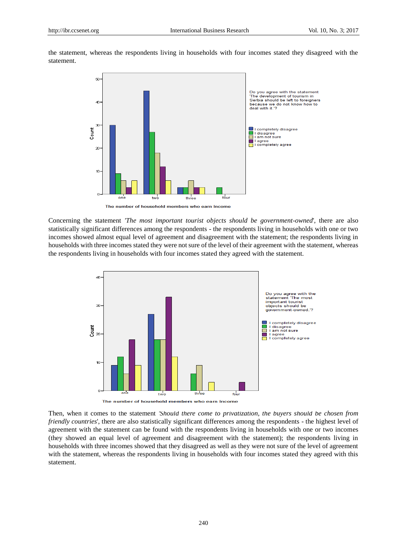the statement, whereas the respondents living in households with four incomes stated they disagreed with the statement.







Then, when it comes to the statement *'Should there come to privatization, the buyers should be chosen from friendly countries*', there are also statistically significant differences among the respondents - the highest level of agreement with the statement can be found with the respondents living in households with one or two incomes (they showed an equal level of agreement and disagreement with the statement); the respondents living in households with three incomes showed that they disagreed as well as they were not sure of the level of agreement with the statement, whereas the respondents living in households with four incomes stated they agreed with this statement.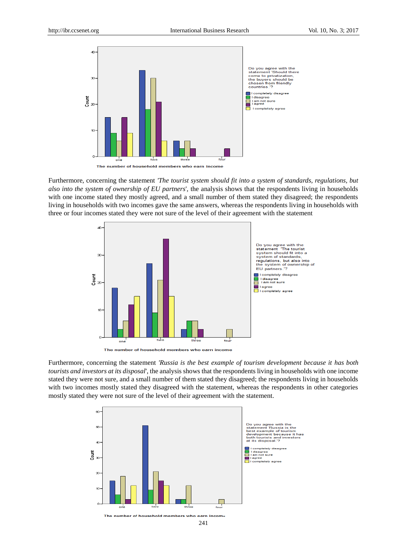

The number of household members who earn income

Furthermore, concerning the statement *'The tourist system should fit into a system of standards, regulations, but also into the system of ownership of EU partners*', the analysis shows that the respondents living in households with one income stated they mostly agreed, and a small number of them stated they disagreed; the respondents living in households with two incomes gave the same answers, whereas the respondents living in households with three or four incomes stated they were not sure of the level of their agreement with the statement





Furthermore, concerning the statement *'Russia is the best example of tourism development because it has both tourists and investors at its disposal*', the analysis shows that the respondents living in households with one income stated they were not sure, and a small number of them stated they disagreed; the respondents living in households with two incomes mostly stated they disagreed with the statement, whereas the respondents in other categories mostly stated they were not sure of the level of their agreement with the statement.

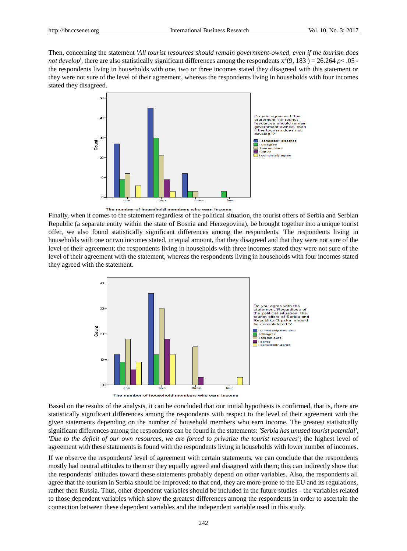Then, concerning the statement *'All tourist resources should remain government-owned, even if the tourism does not develop*', there are also statistically significant differences among the respondents  $x^2(9, 183) = 26.264 \, p < .05$ the respondents living in households with one, two or three incomes stated they disagreed with this statement or they were not sure of the level of their agreement, whereas the respondents living in households with four incomes stated they disagreed.



The number of household members who earn income

Finally, when it comes to the statement regardless of the political situation, the tourist offers of Serbia and Serbian Republic (a separate entity within the state of Bosnia and Herzegovina), be brought together into a unique tourist offer, we also found statistically significant differences among the respondents. The respondents living in households with one or two incomes stated, in equal amount, that they disagreed and that they were not sure of the level of their agreement; the respondents living in households with three incomes stated they were not sure of the level of their agreement with the statement, whereas the respondents living in households with four incomes stated they agreed with the statement.



The number of household members who earn income

Based on the results of the analysis, it can be concluded that our initial hypothesis is confirmed, that is, there are statistically significant differences among the respondents with respect to the level of their agreement with the given statements depending on the number of household members who earn income. The greatest statistically significant differences among the respondents can be found in the statements: *'Serbia has unused tourist potential'*, *'Due to the deficit of our own resources, we are forced to privatize the tourist resources'*; the highest level of agreement with these statements is found with the respondents living in households with lower number of incomes.

If we observe the respondents' level of agreement with certain statements, we can conclude that the respondents mostly had neutral attitudes to them or they equally agreed and disagreed with them; this can indirectly show that the respondents' attitudes toward these statements probably depend on other variables. Also, the respondents all agree that the tourism in Serbia should be improved; to that end, they are more prone to the EU and its regulations, rather then Russia. Thus, other dependent variables should be included in the future studies - the variables related to those dependent variables which show the greatest differences among the respondents in order to ascertain the connection between these dependent variables and the independent variable used in this study.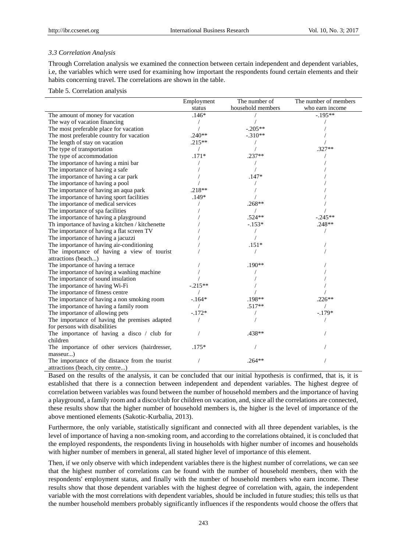## *3.3 Correlation Analysis*

Through Correlation analysis we examined the connection between certain independent and dependent variables, i.e, the variables which were used for examining how important the respondents found certain elements and their habits concerning travel. The correlations are shown in the table.

Table 5. Correlation analysis

|                                                 | Employment | The number of     | The number of members |
|-------------------------------------------------|------------|-------------------|-----------------------|
|                                                 | status     | household members | who earn income       |
| The amount of money for vacation                | $.146*$    |                   | $-.195**$             |
| The way of vacation financing                   |            |                   |                       |
| The most preferable place for vacation          |            | $-.205**$         |                       |
| The most preferable country for vacation        | $.240**$   | $-.310**$         |                       |
| The length of stay on vacation                  | $.215**$   |                   |                       |
| The type of transportation                      | $\sqrt{2}$ |                   | $.327**$              |
| The type of accommodation                       | $.171*$    | $.237**$          |                       |
| The importance of having a mini bar             |            |                   |                       |
| The importance of having a safe                 |            |                   |                       |
| The importance of having a car park             |            | $.147*$           |                       |
| The importance of having a pool                 |            |                   |                       |
| The importance of having an aqua park           | $.218**$   |                   |                       |
| The importance of having sport facilities       | $.149*$    |                   |                       |
| The importance of medical services              |            | $.268**$          |                       |
| The importance of spa facilities                |            | $\sqrt{2}$        |                       |
| The importance of having a playground           |            | $.524**$          | $-.245**$             |
| Th importance of having a kitchen / kitchenette |            | $-153*$           | .248**                |
| The importance of having a flat screen TV       |            |                   |                       |
| The importance of having a jacuzzi              |            |                   |                       |
| The importance of having air-conditioning       |            | $.151*$           |                       |
| The importance of having a view of tourist      |            |                   |                       |
| attractions (beach)                             |            |                   |                       |
| The importance of having a terrace              |            | $.190**$          |                       |
| The importance of having a washing machine      |            |                   |                       |
| The importance of sound insulation              |            |                   |                       |
| The importance of having Wi-Fi                  | $-.215**$  |                   |                       |
| The importance of fitness centre                |            |                   |                       |
| The importance of having a non smoking room     | $-164*$    | .198**            | $.226**$              |
| The importance of having a family room          | $\sqrt{2}$ | $.517**$          |                       |
| The importance of allowing pets                 | $-.172*$   |                   | $-.179*$              |
| The importance of having the premises adapted   |            |                   |                       |
| for persons with disabilities                   |            |                   |                       |
| The importance of having a disco / club for     |            | .438**            |                       |
| children                                        |            |                   |                       |
| The importance of other services (hairdresser,  | $.175*$    |                   |                       |
| masseur)                                        |            |                   |                       |
| The importance of the distance from the tourist |            | $.264**$          |                       |
| attractions (beach, city centre)                |            |                   |                       |

Based on the results of the analysis, it can be concluded that our initial hypothesis is confirmed, that is, it is established that there is a connection between independent and dependent variables. The highest degree of correlation between variables was found between the number of household members and the importance of having a playground, a family room and a disco/club for children on vacation, and, since all the correlations are connected, these results show that the higher number of household members is, the higher is the level of importance of the above mentioned elements (Sakotic-Kurbalia, 2013).

Furthermore, the only variable, statistically significant and connected with all three dependent variables, is the level of importance of having a non-smoking room, and according to the correlations obtained, it is concluded that the employed respondents, the respondents living in households with higher number of incomes and households with higher number of members in general, all stated higher level of importance of this element.

Then, if we only observe with which independent variables there is the highest number of correlations, we can see that the highest number of correlations can be found with the number of household members, then with the respondents' employment status, and finally with the number of household members who earn income. These results show that those dependent variables with the highest degree of correlation with, again, the independent variable with the most correlations with dependent variables, should be included in future studies; this tells us that the number household members probably significantly influences if the respondents would choose the offers that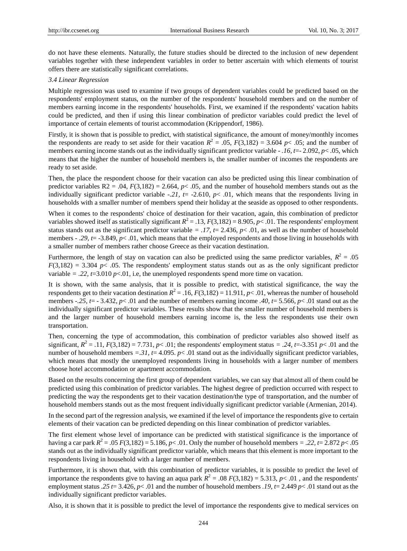do not have these elements. Naturally, the future studies should be directed to the inclusion of new dependent variables together with these independent variables in order to better ascertain with which elements of tourist offers there are statistically significant correlations.

## *3.4 Linear Regression*

Multiple regression was used to examine if two groups of dependent variables could be predicted based on the respondents' employment status, on the number of the respondents' household members and on the number of members earning income in the respondents' households. First, we examined if the respondents' vacation habits could be predicted, and then if using this linear combination of predictor variables could predict the level of importance of certain elements of tourist accommodation (Krippendorf, 1986).

Firstly, it is shown that is possible to predict, with statistical significance, the amount of money/monthly incomes the respondents are ready to set aside for their vacation  $R^2 = .05$ ,  $F(3,182) = 3.604 \, p < .05$ ; and the number of members earning income stands out as the individually significant predictor variable *- .16, t*=- 2.092, *p*< .05, which means that the higher the number of household members is, the smaller number of incomes the respondents are ready to set aside.

Then, the place the respondent choose for their vacation can also be predicted using this linear combination of predictor variables  $R2 = .04$ ,  $F(3,182) = 2.664$ ,  $p < .05$ , and the number of household members stands out as the individually significant predictor variable -.21,  $t = -2.610$ ,  $p < .01$ , which means that the respondents living in households with a smaller number of members spend their holiday at the seaside as opposed to other respondents.

When it comes to the respondents' choice of destination for their vacation, again, this combination of predictor variables showed itself as statistically significant  $R^2 = .13$ ,  $F(3,182) = 8.905$ ,  $p < .01$ . The respondents' employment status stands out as the significant predictor variable =  $.17$ ,  $t = 2.436$ ,  $p < .01$ , as well as the number of household members *- .29, t*= -3.849, *p*< .01, which means that the employed respondents and those living in households with a smaller number of members rather choose Greece as their vacation destination.

Furthermore, the length of stay on vacation can also be predicted using the same predictor variables,  $R^2 = .05$  $F(3,182) = 3.304 \, p \lt 0.05$ . The respondents' employment status stands out as as the only significant predictor variable  $= .22, t=3.010 \, p<.01$ , i.e, the unemployed respondents spend more time on vacation.

It is shown, with the same analysis, that it is possible to predict, with statistical significance, the way the respondents get to their vacation destination  $R^2 = .16$ ,  $F(3,182) = 11.911$ ,  $p < .01$ , whereas the number of household members  $-25$ ,  $t=-3.432$ ,  $p<-01$  and the number of members earning income  $.40$ ,  $t=5.566$ ,  $p<-01$  stand out as the individually significant predictor variables. These results show that the smaller number of household members is and the larger number of household members earning income is, the less the respondents use their own transportation.

Then, concerning the type of accommodation, this combination of predictor variables also showed itself as significant,  $R^2 = .11$ ,  $F(3,182) = 7.731$ ,  $p < .01$ ; the respondents' employment status = .24,  $t = 3.351$   $p < .01$  and the number of household members  $= .31$ ,  $t = 4.095$ .  $p < .01$  stand out as the individually significant predictor variables, which means that mostly the unemployed respondents living in households with a larger number of members choose hotel accommodation or apartment accommodation.

Based on the results concerning the first group of dependent variables, we can say that almost all of them could be predicted using this combination of predictor variables. The highest degree of prediction occurred with respect to predicting the way the respondents get to their vacation destination/the type of transportation, and the number of household members stands out as the most frequent individually significant predictor variable (Armenian, 2014).

In the second part of the regression analysis, we examined if the level of importance the respondents give to certain elements of their vacation can be predicted depending on this linear combination of predictor variables.

The first element whose level of importance can be predicted with statistical significance is the importance of having a car park  $R^2 = .05 F(3,182) = 5.186$ ,  $p < .01$ . Only the number of household members = .22,  $t = 2.872 p < .05$ stands out as the individually significant predictor variable, which means that this element is more important to the respondents living in household with a larger number of members.

Furthermore, it is shown that, with this combination of predictor variables, it is possible to predict the level of importance the respondents give to having an aqua park  $R^2 = .08 F(3,182) = 5.313$ ,  $p < .01$ , and the respondents' employment status  $.25 \tau = 3.426$ ,  $p < .01$  and the number of household members  $.19$ ,  $t = 2.449$   $p < .01$  stand out as the individually significant predictor variables.

Also, it is shown that it is possible to predict the level of importance the respondents give to medical services on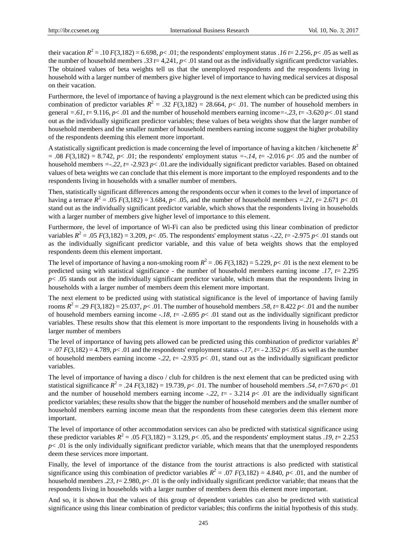their vacation  $R^2 = .10 F(3,182) = 6.698$ ,  $p < .01$ ; the respondents' employment status  $.16 = 2.256$ ,  $p < .05$  as well as the number of household members  $.33 = 4.241$ ,  $p \le 0.01$  stand out as the individually significant predictor variables. The obtained values of beta weights tell us that the unemployed respondents and the respondents living in household with a larger number of members give higher level of importance to having medical services at disposal on their vacation.

Furthermore, the level of importance of having a playground is the next element which can be predicted using this combination of predictor variables  $R^2 = .32 F(3,182) = 28.664$ ,  $p < .01$ . The number of household members in general =.61,  $t=$  9.116,  $p$ < .01 and the number of household members earning income = -.23,  $t=$  -3.620  $p$  < .01 stand out as the individually significant predictor variables; these values of beta weights show that the larger number of household members and the smaller number of household members earning income suggest the higher probability of the respondents deeming this element more important.

A statistically significant prediction is made concerning the level of importance of having a kitchen / kitchenette  $R^2$  $= .08 \ F(3,182) = 8.742$ ,  $p \le 0.01$ ; the respondents' employment status  $= -.14$ ,  $t = -2.016 \ p \le 0.05$  and the number of household members *=-.22, t*= -2.923 *p*< .01.are the individually significant predictor variables. Based on obtained values of beta weights we can conclude that this element is more important to the employed respondents and to the respondents living in households with a smaller number of members.

Then, statistically significant differences among the respondents occur when it comes to the level of importance of having a terrace  $R^2 = .05 F(3,182) = 3.684$ ,  $p < .05$ , and the number of household members = .21,  $t = 2.671 p < .01$ stand out as the individually significant predictor variable, which shows that the respondents living in households with a larger number of members give higher level of importance to this element.

Furthermore, the level of importance of Wi-Fi can also be predicted using this linear combination of predictor variables  $R^2 = .05$   $F(3,182) = 3.209$ ,  $p < .05$ . The respondents' employment status -.22,  $t = -2.975$   $p < .01$  stands out as the individually significant predictor variable, and this value of beta weights shows that the employed respondents deem this element important.

The level of importance of having a non-smoking room  $R^2 = .06 F(3,182) = 5.229$ ,  $p < .01$  is the next element to be predicted using with statistical significance - the number of household members earning income *.17, t*= 2.295  $p$ < .05 stands out as the individually significant predictor variable, which means that the respondents living in households with a larger number of members deem this element more important.

The next element to be predicted using with statistical significance is the level of importance of having family rooms  $R^2 = .29 F(3,182) = 25.037, p < .01$ . The number of household members  $.58, t = 8.422 p < .01$  and the number of household members earning income *-.18, t*= -2.695 *p*< .01 stand out as the individually significant predictor variables. These results show that this element is more important to the respondents living in households with a larger number of members

The level of importance of having pets allowed can be predicted using this combination of predictor variables  $R^2$  $= .07 F(3,182) = 4.789, p < .01$  and the respondents' employment status  $-.17, t = -2.352 p < .05$  as well as the number of household members earning income  $-.22$ ,  $t = -2.935$  *p*< .01, stand out as the individually significant predictor variables.

The level of importance of having a disco / club for children is the next element that can be predicted using with statistical significance  $R^2 = .24$   $F(3,182) = 19.739$ ,  $p < .01$ . The number of household members  $.54$ ,  $t=7.670$   $p < .01$ and the number of household members earning income -.22,  $t = -3.214$   $p < .01$  are the individually significant predictor variables; these results show that the bigger the number of household members and the smaller number of household members earning income mean that the respondents from these categories deem this element more important.

The level of importance of other accommodation services can also be predicted with statistical significance using these predictor variables  $R^2 = .05 F(3,182) = 3.129$ ,  $p < .05$ , and the respondents' employment status *.19*,  $t = 2.253$  $p$ < .01 is the only individually significant predictor variable, which means that that the unemployed respondents deem these services more important.

Finally, the level of importance of the distance from the tourist attractions is also predicted with statistical significance using this combination of predictor variables  $R^2 = .07 F(3,182) = 4.840, p < .01$ , and the number of household members *.23, t*= 2.980,  $p$ < .01 is the only individually significant predictor variable; that means that the respondents living in households with a larger number of members deem this element more important.

And so, it is shown that the values of this group of dependent variables can also be predicted with statistical significance using this linear combination of predictor variables; this confirms the initial hypothesis of this study.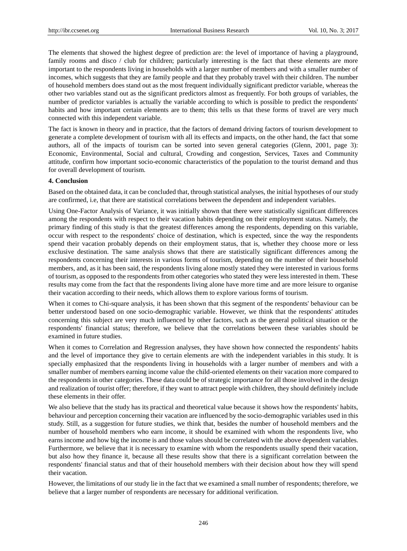The elements that showed the highest degree of prediction are: the level of importance of having a playground, family rooms and disco / club for children; particularly interesting is the fact that these elements are more important to the respondents living in households with a larger number of members and with a smaller number of incomes, which suggests that they are family people and that they probably travel with their children. The number of household members does stand out as the most frequent individually significant predictor variable, whereas the other two variables stand out as the significant predictors almost as frequently. For both groups of variables, the number of predictor variables is actually the variable according to which is possible to predict the respondents' habits and how important certain elements are to them; this tells us that these forms of travel are very much connected with this independent variable.

The fact is known in theory and in practice, that the factors of demand driving factors of tourism development to generate a complete development of tourism with all its effects and impacts, on the other hand, the fact that some authors, all of the impacts of tourism can be sorted into seven general categories (Glenn, 2001, page 3): Economic, Environmental, Social and cultural, Crowding and congestion, Services, Taxes and Community attitude, confirm how important socio-economic characteristics of the population to the tourist demand and thus for overall development of tourism.

### **4. Conclusion**

Based on the obtained data, it can be concluded that, through statistical analyses, the initial hypotheses of our study are confirmed, i.e, that there are statistical correlations between the dependent and independent variables.

Using One-Factor Analysis of Variance, it was initially shown that there were statistically significant differences among the respondents with respect to their vacation habits depending on their employment status. Namely, the primary finding of this study is that the greatest differences among the respondents, depending on this variable, occur with respect to the respondents' choice of destination, which is expected, since the way the respondents spend their vacation probably depends on their employment status, that is, whether they choose more or less exclusive destination. The same analysis shows that there are statistically significant differences among the respondents concerning their interests in various forms of tourism, depending on the number of their household members, and, as it has been said, the respondents living alone mostly stated they were interested in various forms of tourism, as opposed to the respondents from other categories who stated they were less interested in them. These results may come from the fact that the respondents living alone have more time and are more leisure to organise their vacation according to their needs, which allows them to explore various forms of tourism.

When it comes to Chi-square analysis, it has been shown that this segment of the respondents' behaviour can be better understood based on one socio-demographic variable. However, we think that the respondents' attitudes concerning this subject are very much influenced by other factors, such as the general political situation or the respondents' financial status; therefore, we believe that the correlations between these variables should be examined in future studies.

When it comes to Correlation and Regression analyses, they have shown how connected the respondents' habits and the level of importance they give to certain elements are with the independent variables in this study. It is specially emphasized that the respondents living in households with a larger number of members and with a smaller number of members earning income value the child-oriented elements on their vacation more compared to the respondents in other categories. These data could be of strategic importance for all those involved in the design and realization of tourist offer; therefore, if they want to attract people with children, they should definitely include these elements in their offer.

We also believe that the study has its practical and theoretical value because it shows how the respondents' habits, behaviour and perception concerning their vacation are influenced by the socio-demographic variables used in this study. Still, as a suggestion for future studies, we think that, besides the number of household members and the number of household members who earn income, it should be examined with whom the respondents live, who earns income and how big the income is and those values should be correlated with the above dependent variables. Furthermore, we believe that it is necessary to examine with whom the respondents usually spend their vacation, but also how they finance it, because all these results show that there is a significant correlation between the respondents' financial status and that of their household members with their decision about how they will spend their vacation.

However, the limitations of our study lie in the fact that we examined a small number of respondents; therefore, we believe that a larger number of respondents are necessary for additional verification.